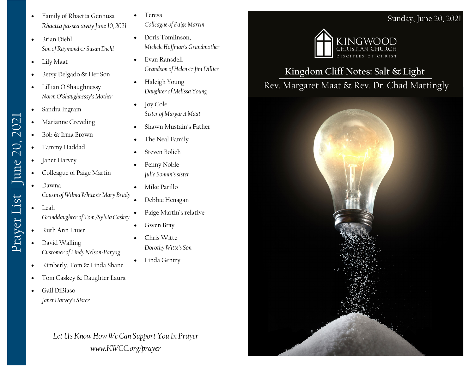- Family of Rhaetta Gennusa *Rhaetta passed away June 10, 2021*
- Brian Diehl *Son of Raymond & Susan Diehl*
- Lily Maat
- Betsy Delgado & Her Son
- Lillian O'Shaughnessy *Norm O'Shaughnessy's Mother*
- Sandra Ingram
- Marianne Creveling
- Bob & Irma Brown
- Tammy Haddad
- Janet Harvey

Prayer List | June 20, 2021

Prayer List | June 20, 2021

- Colleague of Paige Martin
- Dawna *Cousin of Wilma White & Mary Brady*
- Leah *Granddaughter of Tom /Sylvia Caskey*
- Ruth Ann Lauer
- David Walling *Customer of Lindy Nelson-Paryag*
- Kimberly, Tom & Linda Shane
- Tom Caskey & Daughter Laura
- Gail DiBiaso *Janet Harvey's Sister*
	- *Let Us Know How We Can Support You In Prayer www.KWCC.org/prayer*
- **Teresa** *Colleague of Paige Martin*
- Doris Tomlinson, *Michele Hoffman's Grandmother*
- Evan Ransdell *Grandson of Helen & Jim Dillier*
- Haleigh Young *Daughter of Melissa Young*
- Joy Cole *Sister of Margaret Maat*
- Shawn Mustain's Father
- The Neal Family
- Steven Bolich
- Penny Noble *Julie Bonnin's sister*
- Mike Parillo
- Debbie Henagan
- Paige Martin's relative
- Gwen Bray
- Chris Witte *Dorothy Witte's Son*
- Linda Gentry



## **Kingdom Cliff Notes: Salt & Light** Rev. Margaret Maat & Rev. Dr. Chad Mattingly